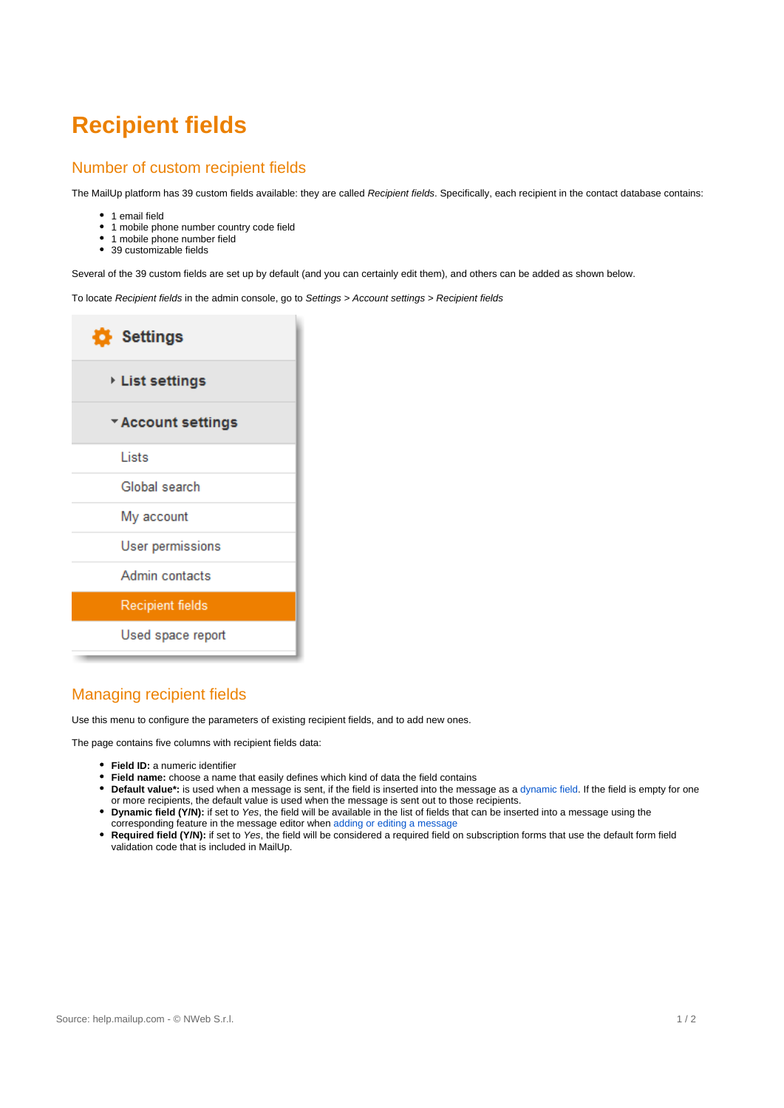# **Recipient fields**

#### Number of custom recipient fields

The MailUp platform has 39 custom fields available: they are called Recipient fields. Specifically, each recipient in the contact database contains:

- 1 email field
- 1 mobile phone number country code field
- 1 mobile phone number field
- 39 customizable fields

Several of the 39 custom fields are set up by default (and you can certainly edit them), and others can be added as shown below.

To locate Recipient fields in the admin console, go to Settings > Account settings > Recipient fields

| Settings                |
|-------------------------|
| ▸ List settings         |
| * Account settings      |
| Lists                   |
| Global search           |
| My account              |
| <b>User permissions</b> |
| Admin contacts          |
| <b>Recipient fields</b> |
| Used space report       |

## Managing recipient fields

Use this menu to configure the parameters of existing recipient fields, and to add new ones.

The page contains five columns with recipient fields data:

- **Field ID:** a numeric identifier
- **Field name:** choose a name that easily defines which kind of data the field contains
- **Default value\*:** is used when a message is sent, if the field is inserted into the message as a [dynamic field.](http://help.mailup.com/display/MUG/New+from+scratch#Newfromscratch-dynamictags) If the field is empty for one or more recipients, the default value is used when the message is sent out to those recipients.
- $\bullet$ **Dynamic field (Y/N):** if set to Yes, the field will be available in the list of fields that can be inserted into a message using the corresponding feature in the message editor when [adding or editing a message](https://help.mailup.com/display/MUG/New+from+scratch)
- **Required field (Y/N):** if set to Yes, the field will be considered a required field on subscription forms that use the default form field validation code that is included in MailUp.